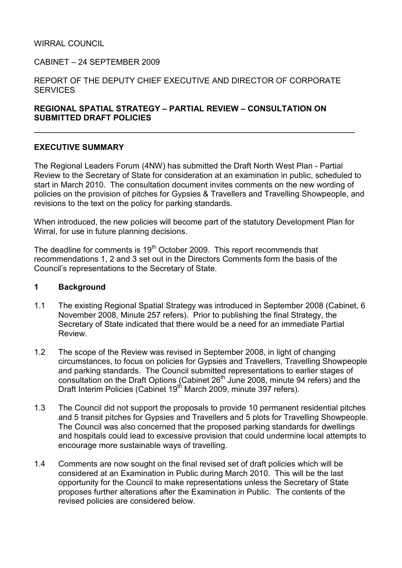#### WIRRAL COUNCIL

#### CABINET – 24 SEPTEMBER 2009

#### REPORT OF THE DEPUTY CHIEF EXECUTIVE AND DIRECTOR OF CORPORATE **SERVICES**

#### REGIONAL SPATIAL STRATEGY – PARTIAL REVIEW – CONSULTATION ON SUBMITTED DRAFT POLICIES

#### EXECUTIVE SUMMARY

The Regional Leaders Forum (4NW) has submitted the Draft North West Plan - Partial Review to the Secretary of State for consideration at an examination in public, scheduled to start in March 2010. The consultation document invites comments on the new wording of policies on the provision of pitches for Gypsies & Travellers and Travelling Showpeople, and revisions to the text on the policy for parking standards.

\_\_\_\_\_\_\_\_\_\_\_\_\_\_\_\_\_\_\_\_\_\_\_\_\_\_\_\_\_\_\_\_\_\_\_\_\_\_\_\_\_\_\_\_\_\_\_\_\_\_\_\_\_\_\_\_\_\_\_\_\_

When introduced, the new policies will become part of the statutory Development Plan for Wirral, for use in future planning decisions.

The deadline for comments is 19<sup>th</sup> October 2009. This report recommends that recommendations 1, 2 and 3 set out in the Directors Comments form the basis of the Council's representations to the Secretary of State.

#### 1 Background

- 1.1 The existing Regional Spatial Strategy was introduced in September 2008 (Cabinet, 6 November 2008, Minute 257 refers). Prior to publishing the final Strategy, the Secretary of State indicated that there would be a need for an immediate Partial Review.
- 1.2 The scope of the Review was revised in September 2008, in light of changing circumstances, to focus on policies for Gypsies and Travellers, Travelling Showpeople and parking standards. The Council submitted representations to earlier stages of consultation on the Draft Options (Cabinet 26<sup>th</sup> June 2008, minute 94 refers) and the Draft Interim Policies (Cabinet 19<sup>th</sup> March 2009, minute 397 refers).
- 1.3 The Council did not support the proposals to provide 10 permanent residential pitches and 5 transit pitches for Gypsies and Travellers and 5 plots for Travelling Showpeople. The Council was also concerned that the proposed parking standards for dwellings and hospitals could lead to excessive provision that could undermine local attempts to encourage more sustainable ways of travelling.
- 1.4 Comments are now sought on the final revised set of draft policies which will be considered at an Examination in Public during March 2010. This will be the last opportunity for the Council to make representations unless the Secretary of State proposes further alterations after the Examination in Public. The contents of the revised policies are considered below.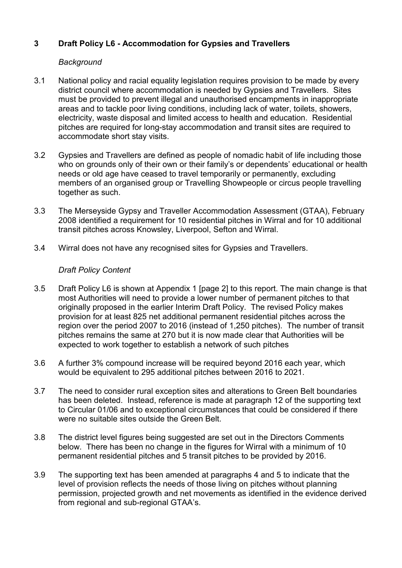# 3 Draft Policy L6 - Accommodation for Gypsies and Travellers

### **Background**

- 3.1 National policy and racial equality legislation requires provision to be made by every district council where accommodation is needed by Gypsies and Travellers. Sites must be provided to prevent illegal and unauthorised encampments in inappropriate areas and to tackle poor living conditions, including lack of water, toilets, showers, electricity, waste disposal and limited access to health and education. Residential pitches are required for long-stay accommodation and transit sites are required to accommodate short stay visits.
- 3.2 Gypsies and Travellers are defined as people of nomadic habit of life including those who on grounds only of their own or their family's or dependents' educational or health needs or old age have ceased to travel temporarily or permanently, excluding members of an organised group or Travelling Showpeople or circus people travelling together as such.
- 3.3 The Merseyside Gypsy and Traveller Accommodation Assessment (GTAA), February 2008 identified a requirement for 10 residential pitches in Wirral and for 10 additional transit pitches across Knowsley, Liverpool, Sefton and Wirral.
- 3.4 Wirral does not have any recognised sites for Gypsies and Travellers.

### Draft Policy Content

- 3.5 Draft Policy L6 is shown at Appendix 1 [page 2] to this report. The main change is that most Authorities will need to provide a lower number of permanent pitches to that originally proposed in the earlier Interim Draft Policy. The revised Policy makes provision for at least 825 net additional permanent residential pitches across the region over the period 2007 to 2016 (instead of 1,250 pitches). The number of transit pitches remains the same at 270 but it is now made clear that Authorities will be expected to work together to establish a network of such pitches
- 3.6 A further 3% compound increase will be required beyond 2016 each year, which would be equivalent to 295 additional pitches between 2016 to 2021.
- 3.7 The need to consider rural exception sites and alterations to Green Belt boundaries has been deleted. Instead, reference is made at paragraph 12 of the supporting text to Circular 01/06 and to exceptional circumstances that could be considered if there were no suitable sites outside the Green Belt.
- 3.8 The district level figures being suggested are set out in the Directors Comments below. There has been no change in the figures for Wirral with a minimum of 10 permanent residential pitches and 5 transit pitches to be provided by 2016.
- 3.9 The supporting text has been amended at paragraphs 4 and 5 to indicate that the level of provision reflects the needs of those living on pitches without planning permission, projected growth and net movements as identified in the evidence derived from regional and sub-regional GTAA's.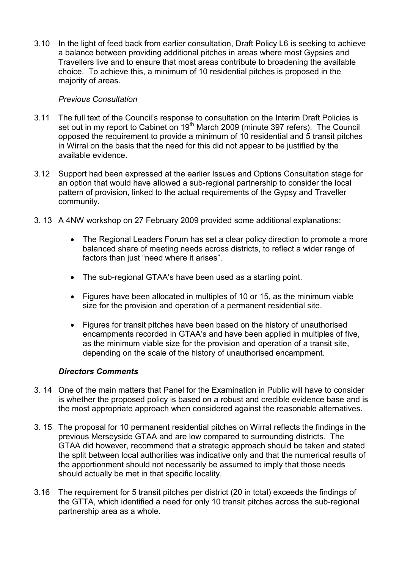3.10 In the light of feed back from earlier consultation, Draft Policy L6 is seeking to achieve a balance between providing additional pitches in areas where most Gypsies and Travellers live and to ensure that most areas contribute to broadening the available choice. To achieve this, a minimum of 10 residential pitches is proposed in the majority of areas.

### Previous Consultation

- 3.11 The full text of the Council's response to consultation on the Interim Draft Policies is set out in my report to Cabinet on 19<sup>th</sup> March 2009 (minute 397 refers). The Council opposed the requirement to provide a minimum of 10 residential and 5 transit pitches in Wirral on the basis that the need for this did not appear to be justified by the available evidence.
- 3.12 Support had been expressed at the earlier Issues and Options Consultation stage for an option that would have allowed a sub-regional partnership to consider the local pattern of provision, linked to the actual requirements of the Gypsy and Traveller community.
- 3. 13 A 4NW workshop on 27 February 2009 provided some additional explanations:
	- The Regional Leaders Forum has set a clear policy direction to promote a more balanced share of meeting needs across districts, to reflect a wider range of factors than just "need where it arises".
	- The sub-regional GTAA's have been used as a starting point.
	- Figures have been allocated in multiples of 10 or 15, as the minimum viable size for the provision and operation of a permanent residential site.
	- Figures for transit pitches have been based on the history of unauthorised encampments recorded in GTAA's and have been applied in multiples of five, as the minimum viable size for the provision and operation of a transit site, depending on the scale of the history of unauthorised encampment.

#### Directors Comments

- 3. 14 One of the main matters that Panel for the Examination in Public will have to consider is whether the proposed policy is based on a robust and credible evidence base and is the most appropriate approach when considered against the reasonable alternatives.
- 3. 15 The proposal for 10 permanent residential pitches on Wirral reflects the findings in the previous Merseyside GTAA and are low compared to surrounding districts. The GTAA did however, recommend that a strategic approach should be taken and stated the split between local authorities was indicative only and that the numerical results of the apportionment should not necessarily be assumed to imply that those needs should actually be met in that specific locality.
- 3.16 The requirement for 5 transit pitches per district (20 in total) exceeds the findings of the GTTA, which identified a need for only 10 transit pitches across the sub-regional partnership area as a whole.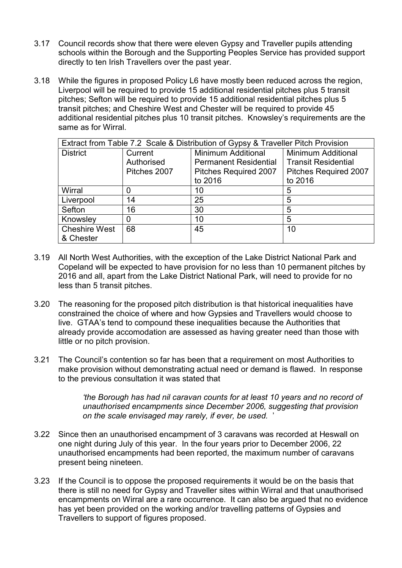- 3.17 Council records show that there were eleven Gypsy and Traveller pupils attending schools within the Borough and the Supporting Peoples Service has provided support directly to ten Irish Travellers over the past year.
- 3.18 While the figures in proposed Policy L6 have mostly been reduced across the region, Liverpool will be required to provide 15 additional residential pitches plus 5 transit pitches; Sefton will be required to provide 15 additional residential pitches plus 5 transit pitches; and Cheshire West and Chester will be required to provide 45 additional residential pitches plus 10 transit pitches. Knowsley's requirements are the same as for Wirral.

| Extract from Table 7.2 Scale & Distribution of Gypsy & Traveller Pitch Provision |              |                              |                              |
|----------------------------------------------------------------------------------|--------------|------------------------------|------------------------------|
| <b>District</b>                                                                  | Current      | <b>Minimum Additional</b>    | <b>Minimum Additional</b>    |
|                                                                                  | Authorised   | <b>Permanent Residential</b> | <b>Transit Residential</b>   |
|                                                                                  | Pitches 2007 | Pitches Required 2007        | <b>Pitches Required 2007</b> |
|                                                                                  |              | to 2016                      | to 2016                      |
| Wirral                                                                           | 0            | 10                           | 5                            |
| Liverpool                                                                        | 14           | 25                           | 5                            |
| Sefton                                                                           | 16           | 30                           | 5                            |
| Knowsley                                                                         | 0            | 10                           | 5                            |
| <b>Cheshire West</b>                                                             | 68           | 45                           | 10                           |
| & Chester                                                                        |              |                              |                              |

- 3.19 All North West Authorities, with the exception of the Lake District National Park and Copeland will be expected to have provision for no less than 10 permanent pitches by 2016 and all, apart from the Lake District National Park, will need to provide for no less than 5 transit pitches.
- 3.20 The reasoning for the proposed pitch distribution is that historical inequalities have constrained the choice of where and how Gypsies and Travellers would choose to live. GTAA's tend to compound these inequalities because the Authorities that already provide accomodation are assessed as having greater need than those with little or no pitch provision.
- 3.21 The Council's contention so far has been that a requirement on most Authorities to make provision without demonstrating actual need or demand is flawed. In response to the previous consultation it was stated that

'the Borough has had nil caravan counts for at least 10 years and no record of unauthorised encampments since December 2006, suggesting that provision on the scale envisaged may rarely, if ever, be used. '

- 3.22 Since then an unauthorised encampment of 3 caravans was recorded at Heswall on one night during July of this year. In the four years prior to December 2006, 22 unauthorised encampments had been reported, the maximum number of caravans present being nineteen.
- 3.23 If the Council is to oppose the proposed requirements it would be on the basis that there is still no need for Gypsy and Traveller sites within Wirral and that unauthorised encampments on Wirral are a rare occurrence. It can also be argued that no evidence has yet been provided on the working and/or travelling patterns of Gypsies and Travellers to support of figures proposed.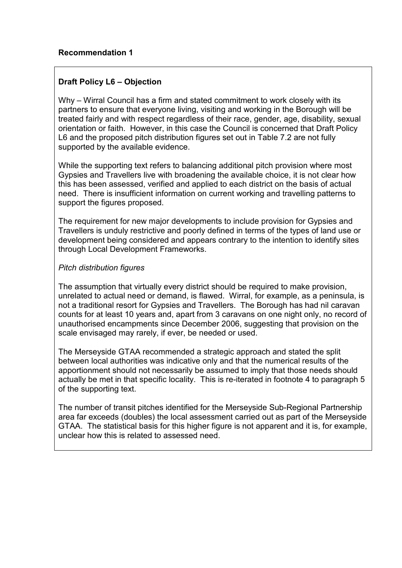# Draft Policy L6 – Objection

Why – Wirral Council has a firm and stated commitment to work closely with its partners to ensure that everyone living, visiting and working in the Borough will be treated fairly and with respect regardless of their race, gender, age, disability, sexual orientation or faith. However, in this case the Council is concerned that Draft Policy L6 and the proposed pitch distribution figures set out in Table 7.2 are not fully supported by the available evidence.

While the supporting text refers to balancing additional pitch provision where most Gypsies and Travellers live with broadening the available choice, it is not clear how this has been assessed, verified and applied to each district on the basis of actual need. There is insufficient information on current working and travelling patterns to support the figures proposed.

The requirement for new major developments to include provision for Gypsies and Travellers is unduly restrictive and poorly defined in terms of the types of land use or development being considered and appears contrary to the intention to identify sites through Local Development Frameworks.

## Pitch distribution figures

The assumption that virtually every district should be required to make provision, unrelated to actual need or demand, is flawed. Wirral, for example, as a peninsula, is not a traditional resort for Gypsies and Travellers. The Borough has had nil caravan counts for at least 10 years and, apart from 3 caravans on one night only, no record of unauthorised encampments since December 2006, suggesting that provision on the scale envisaged may rarely, if ever, be needed or used.

The Merseyside GTAA recommended a strategic approach and stated the split between local authorities was indicative only and that the numerical results of the apportionment should not necessarily be assumed to imply that those needs should actually be met in that specific locality. This is re-iterated in footnote 4 to paragraph 5 of the supporting text.

The number of transit pitches identified for the Merseyside Sub-Regional Partnership area far exceeds (doubles) the local assessment carried out as part of the Merseyside GTAA. The statistical basis for this higher figure is not apparent and it is, for example, unclear how this is related to assessed need.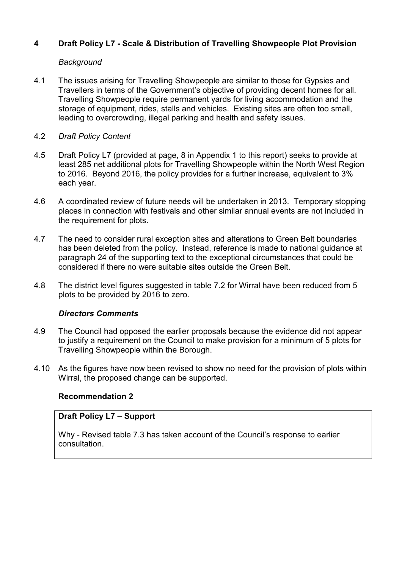# 4 Draft Policy L7 - Scale & Distribution of Travelling Showpeople Plot Provision

### **Background**

- 4.1 The issues arising for Travelling Showpeople are similar to those for Gypsies and Travellers in terms of the Government's objective of providing decent homes for all. Travelling Showpeople require permanent yards for living accommodation and the storage of equipment, rides, stalls and vehicles. Existing sites are often too small, leading to overcrowding, illegal parking and health and safety issues.
- 4.2 Draft Policy Content
- 4.5 Draft Policy L7 (provided at page, 8 in Appendix 1 to this report) seeks to provide at least 285 net additional plots for Travelling Showpeople within the North West Region to 2016. Beyond 2016, the policy provides for a further increase, equivalent to 3% each year.
- 4.6 A coordinated review of future needs will be undertaken in 2013. Temporary stopping places in connection with festivals and other similar annual events are not included in the requirement for plots.
- 4.7 The need to consider rural exception sites and alterations to Green Belt boundaries has been deleted from the policy. Instead, reference is made to national guidance at paragraph 24 of the supporting text to the exceptional circumstances that could be considered if there no were suitable sites outside the Green Belt.
- 4.8 The district level figures suggested in table 7.2 for Wirral have been reduced from 5 plots to be provided by 2016 to zero.

#### Directors Comments

- 4.9 The Council had opposed the earlier proposals because the evidence did not appear to justify a requirement on the Council to make provision for a minimum of 5 plots for Travelling Showpeople within the Borough.
- 4.10 As the figures have now been revised to show no need for the provision of plots within Wirral, the proposed change can be supported.

## Recommendation 2

#### Draft Policy L7 – Support

Why - Revised table 7.3 has taken account of the Council's response to earlier consultation.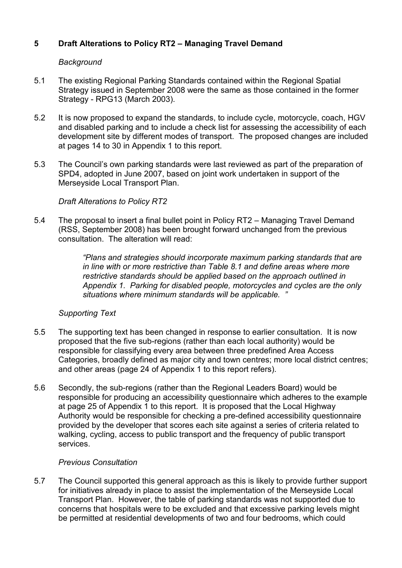# 5 Draft Alterations to Policy RT2 – Managing Travel Demand

### **Background**

- 5.1 The existing Regional Parking Standards contained within the Regional Spatial Strategy issued in September 2008 were the same as those contained in the former Strategy - RPG13 (March 2003).
- 5.2 It is now proposed to expand the standards, to include cycle, motorcycle, coach, HGV and disabled parking and to include a check list for assessing the accessibility of each development site by different modes of transport. The proposed changes are included at pages 14 to 30 in Appendix 1 to this report.
- 5.3 The Council's own parking standards were last reviewed as part of the preparation of SPD4, adopted in June 2007, based on joint work undertaken in support of the Merseyside Local Transport Plan.

### Draft Alterations to Policy RT2

5.4 The proposal to insert a final bullet point in Policy RT2 – Managing Travel Demand (RSS, September 2008) has been brought forward unchanged from the previous consultation. The alteration will read:

> "Plans and strategies should incorporate maximum parking standards that are in line with or more restrictive than Table 8.1 and define areas where more restrictive standards should be applied based on the approach outlined in Appendix 1. Parking for disabled people, motorcycles and cycles are the only situations where minimum standards will be applicable. "

#### Supporting Text

- 5.5 The supporting text has been changed in response to earlier consultation. It is now proposed that the five sub-regions (rather than each local authority) would be responsible for classifying every area between three predefined Area Access Categories, broadly defined as major city and town centres; more local district centres; and other areas (page 24 of Appendix 1 to this report refers).
- 5.6 Secondly, the sub-regions (rather than the Regional Leaders Board) would be responsible for producing an accessibility questionnaire which adheres to the example at page 25 of Appendix 1 to this report. It is proposed that the Local Highway Authority would be responsible for checking a pre-defined accessibility questionnaire provided by the developer that scores each site against a series of criteria related to walking, cycling, access to public transport and the frequency of public transport services.

#### Previous Consultation

5.7 The Council supported this general approach as this is likely to provide further support for initiatives already in place to assist the implementation of the Merseyside Local Transport Plan. However, the table of parking standards was not supported due to concerns that hospitals were to be excluded and that excessive parking levels might be permitted at residential developments of two and four bedrooms, which could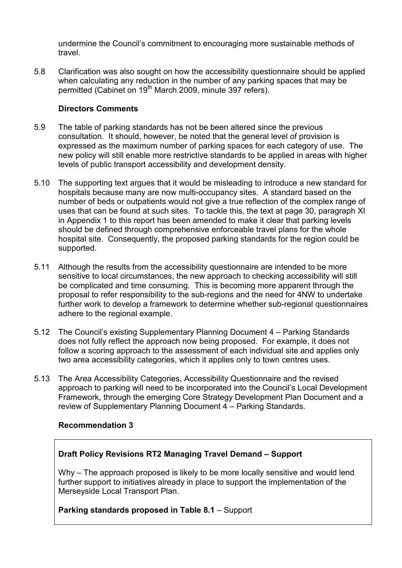undermine the Council's commitment to encouraging more sustainable methods of travel.

5.8 Clarification was also sought on how the accessibility questionnaire should be applied when calculating any reduction in the number of any parking spaces that may be permitted (Cabinet on 19<sup>th</sup> March 2009, minute 397 refers).

### Directors Comments

- 5.9 The table of parking standards has not be been altered since the previous consultation. It should, however, be noted that the general level of provision is expressed as the maximum number of parking spaces for each category of use. The new policy will still enable more restrictive standards to be applied in areas with higher levels of public transport accessibility and development density.
- 5.10 The supporting text argues that it would be misleading to introduce a new standard for hospitals because many are now multi-occupancy sites. A standard based on the number of beds or outpatients would not give a true reflection of the complex range of uses that can be found at such sites. To tackle this, the text at page 30, paragraph XI in Appendix 1 to this report has been amended to make it clear that parking levels should be defined through comprehensive enforceable travel plans for the whole hospital site. Consequently, the proposed parking standards for the region could be supported.
- 5.11 Although the results from the accessibility questionnaire are intended to be more sensitive to local circumstances, the new approach to checking accessibility will still be complicated and time consuming. This is becoming more apparent through the proposal to refer responsibility to the sub-regions and the need for 4NW to undertake further work to develop a framework to determine whether sub-regional questionnaires adhere to the regional example.
- 5.12 The Council's existing Supplementary Planning Document 4 Parking Standards does not fully reflect the approach now being proposed. For example, it does not follow a scoring approach to the assessment of each individual site and applies only two area accessibility categories, which it applies only to town centres uses.
- 5.13 The Area Accessibility Categories, Accessibility Questionnaire and the revised approach to parking will need to be incorporated into the Council's Local Development Framework, through the emerging Core Strategy Development Plan Document and a review of Supplementary Planning Document 4 – Parking Standards.

## Recommendation 3

## Draft Policy Revisions RT2 Managing Travel Demand – Support

Why – The approach proposed is likely to be more locally sensitive and would lend further support to initiatives already in place to support the implementation of the Merseyside Local Transport Plan.

#### Parking standards proposed in Table 8.1 – Support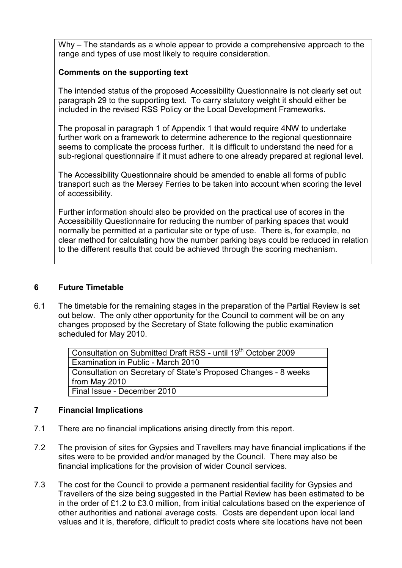Why – The standards as a whole appear to provide a comprehensive approach to the range and types of use most likely to require consideration.

## Comments on the supporting text

The intended status of the proposed Accessibility Questionnaire is not clearly set out paragraph 29 to the supporting text. To carry statutory weight it should either be included in the revised RSS Policy or the Local Development Frameworks.

The proposal in paragraph 1 of Appendix 1 that would require 4NW to undertake further work on a framework to determine adherence to the regional questionnaire seems to complicate the process further. It is difficult to understand the need for a sub-regional questionnaire if it must adhere to one already prepared at regional level.

The Accessibility Questionnaire should be amended to enable all forms of public transport such as the Mersey Ferries to be taken into account when scoring the level of accessibility.

Further information should also be provided on the practical use of scores in the Accessibility Questionnaire for reducing the number of parking spaces that would normally be permitted at a particular site or type of use. There is, for example, no clear method for calculating how the number parking bays could be reduced in relation to the different results that could be achieved through the scoring mechanism.

## 6 Future Timetable

6.1 The timetable for the remaining stages in the preparation of the Partial Review is set out below. The only other opportunity for the Council to comment will be on any changes proposed by the Secretary of State following the public examination scheduled for May 2010.

| Consultation on Submitted Draft RSS - until 19 <sup>th</sup> October 2009 |
|---------------------------------------------------------------------------|
| Examination in Public - March 2010                                        |
| Consultation on Secretary of State's Proposed Changes - 8 weeks           |
| from May 2010                                                             |
| Final Issue - December 2010                                               |

## 7 Financial Implications

- 7.1 There are no financial implications arising directly from this report.
- 7.2 The provision of sites for Gypsies and Travellers may have financial implications if the sites were to be provided and/or managed by the Council. There may also be financial implications for the provision of wider Council services.
- 7.3 The cost for the Council to provide a permanent residential facility for Gypsies and Travellers of the size being suggested in the Partial Review has been estimated to be in the order of £1.2 to £3.0 million, from initial calculations based on the experience of other authorities and national average costs. Costs are dependent upon local land values and it is, therefore, difficult to predict costs where site locations have not been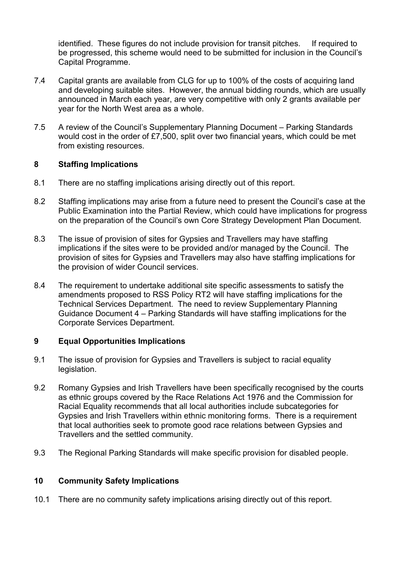identified. These figures do not include provision for transit pitches. If required to be progressed, this scheme would need to be submitted for inclusion in the Council's Capital Programme.

- 7.4 Capital grants are available from CLG for up to 100% of the costs of acquiring land and developing suitable sites. However, the annual bidding rounds, which are usually announced in March each year, are very competitive with only 2 grants available per year for the North West area as a whole.
- 7.5 A review of the Council's Supplementary Planning Document Parking Standards would cost in the order of £7,500, split over two financial years, which could be met from existing resources.

### 8 Staffing Implications

- 8.1 There are no staffing implications arising directly out of this report.
- 8.2 Staffing implications may arise from a future need to present the Council's case at the Public Examination into the Partial Review, which could have implications for progress on the preparation of the Council's own Core Strategy Development Plan Document.
- 8.3 The issue of provision of sites for Gypsies and Travellers may have staffing implications if the sites were to be provided and/or managed by the Council. The provision of sites for Gypsies and Travellers may also have staffing implications for the provision of wider Council services.
- 8.4 The requirement to undertake additional site specific assessments to satisfy the amendments proposed to RSS Policy RT2 will have staffing implications for the Technical Services Department. The need to review Supplementary Planning Guidance Document 4 – Parking Standards will have staffing implications for the Corporate Services Department.

#### 9 Equal Opportunities Implications

- 9.1 The issue of provision for Gypsies and Travellers is subject to racial equality legislation.
- 9.2 Romany Gypsies and Irish Travellers have been specifically recognised by the courts as ethnic groups covered by the Race Relations Act 1976 and the Commission for Racial Equality recommends that all local authorities include subcategories for Gypsies and Irish Travellers within ethnic monitoring forms. There is a requirement that local authorities seek to promote good race relations between Gypsies and Travellers and the settled community.
- 9.3 The Regional Parking Standards will make specific provision for disabled people.

#### 10 Community Safety Implications

10.1 There are no community safety implications arising directly out of this report.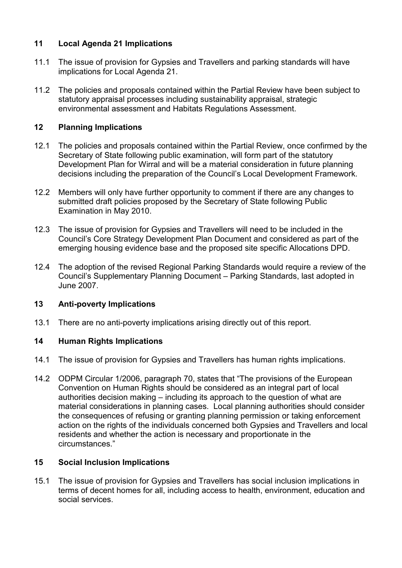## 11 Local Agenda 21 Implications

- 11.1 The issue of provision for Gypsies and Travellers and parking standards will have implications for Local Agenda 21.
- 11.2 The policies and proposals contained within the Partial Review have been subject to statutory appraisal processes including sustainability appraisal, strategic environmental assessment and Habitats Regulations Assessment.

# 12 Planning Implications

- 12.1 The policies and proposals contained within the Partial Review, once confirmed by the Secretary of State following public examination, will form part of the statutory Development Plan for Wirral and will be a material consideration in future planning decisions including the preparation of the Council's Local Development Framework.
- 12.2 Members will only have further opportunity to comment if there are any changes to submitted draft policies proposed by the Secretary of State following Public Examination in May 2010.
- 12.3 The issue of provision for Gypsies and Travellers will need to be included in the Council's Core Strategy Development Plan Document and considered as part of the emerging housing evidence base and the proposed site specific Allocations DPD.
- 12.4 The adoption of the revised Regional Parking Standards would require a review of the Council's Supplementary Planning Document – Parking Standards, last adopted in June 2007.

## 13 Anti-poverty Implications

13.1 There are no anti-poverty implications arising directly out of this report.

## 14 Human Rights Implications

- 14.1 The issue of provision for Gypsies and Travellers has human rights implications.
- 14.2 ODPM Circular 1/2006, paragraph 70, states that "The provisions of the European Convention on Human Rights should be considered as an integral part of local authorities decision making – including its approach to the question of what are material considerations in planning cases. Local planning authorities should consider the consequences of refusing or granting planning permission or taking enforcement action on the rights of the individuals concerned both Gypsies and Travellers and local residents and whether the action is necessary and proportionate in the circumstances."

## 15 Social Inclusion Implications

15.1 The issue of provision for Gypsies and Travellers has social inclusion implications in terms of decent homes for all, including access to health, environment, education and social services.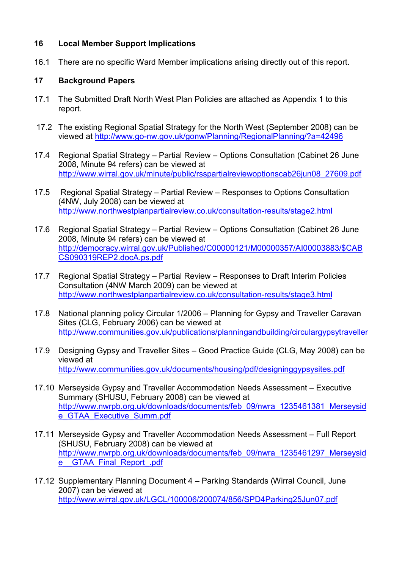## 16 Local Member Support Implications

16.1 There are no specific Ward Member implications arising directly out of this report.

### 17 Background Papers

- 17.1 The Submitted Draft North West Plan Policies are attached as Appendix 1 to this report.
- 17.2 The existing Regional Spatial Strategy for the North West (September 2008) can be viewed at http://www.go-nw.gov.uk/gonw/Planning/RegionalPlanning/?a=42496
- 17.4 Regional Spatial Strategy Partial Review Options Consultation (Cabinet 26 June 2008, Minute 94 refers) can be viewed at http://www.wirral.gov.uk/minute/public/rsspartialreviewoptionscab26jun08\_27609.pdf
- 17.5 Regional Spatial Strategy Partial Review Responses to Options Consultation (4NW, July 2008) can be viewed at http://www.northwestplanpartialreview.co.uk/consultation-results/stage2.html
- 17.6 Regional Spatial Strategy Partial Review Options Consultation (Cabinet 26 June 2008, Minute 94 refers) can be viewed at http://democracy.wirral.gov.uk/Published/C00000121/M00000357/AI00003883/\$CAB CS090319REP2.docA.ps.pdf
- 17.7 Regional Spatial Strategy Partial Review Responses to Draft Interim Policies Consultation (4NW March 2009) can be viewed at http://www.northwestplanpartialreview.co.uk/consultation-results/stage3.html
- 17.8 National planning policy Circular 1/2006 Planning for Gypsy and Traveller Caravan Sites (CLG, February 2006) can be viewed at http://www.communities.gov.uk/publications/planningandbuilding/circulargypsytraveller
- 17.9 Designing Gypsy and Traveller Sites Good Practice Guide (CLG, May 2008) can be viewed at http://www.communities.gov.uk/documents/housing/pdf/designinggypsysites.pdf
- 17.10 Merseyside Gypsy and Traveller Accommodation Needs Assessment Executive Summary (SHUSU, February 2008) can be viewed at http://www.nwrpb.org.uk/downloads/documents/feb\_09/nwra\_1235461381\_Merseysid e\_GTAA\_Executive\_Summ.pdf
- 17.11 Merseyside Gypsy and Traveller Accommodation Needs Assessment Full Report (SHUSU, February 2008) can be viewed at http://www.nwrpb.org.uk/downloads/documents/feb\_09/nwra\_1235461297\_Merseysid e GTAA Final Report .pdf
- 17.12 Supplementary Planning Document 4 Parking Standards (Wirral Council, June 2007) can be viewed at http://www.wirral.gov.uk/LGCL/100006/200074/856/SPD4Parking25Jun07.pdf